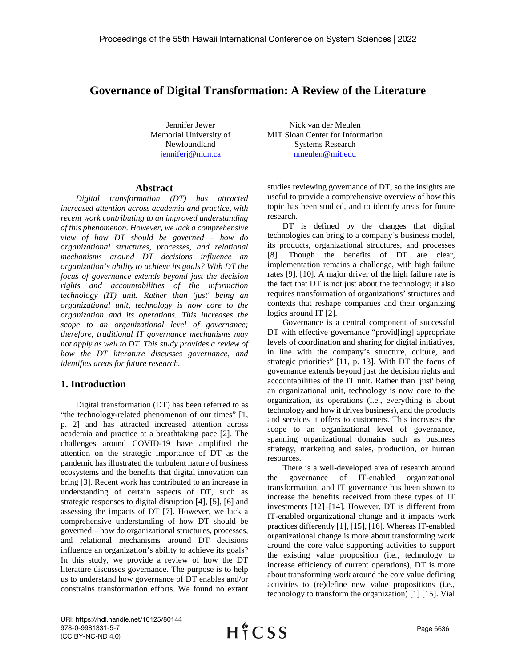# **Governance of Digital Transformation: A Review of the Literature**

Jennifer Jewer Memorial University of Newfoundland [jenniferj@mun.ca](mailto:jenniferj@mun.ca)

#### **Abstract**

*Digital transformation (DT) has attracted increased attention across academia and practice, with recent work contributing to an improved understanding of this phenomenon. However, we lack a comprehensive view of how DT should be governed – how do organizational structures, processes, and relational mechanisms around DT decisions influence an organization's ability to achieve its goals? With DT the focus of governance extends beyond just the decision rights and accountabilities of the information technology (IT) unit. Rather than 'just' being an organizational unit, technology is now core to the organization and its operations. This increases the scope to an organizational level of governance; therefore, traditional IT governance mechanisms may not apply as well to DT. This study provides a review of how the DT literature discusses governance, and identifies areas for future research.*

## **1. Introduction**

Digital transformation (DT) has been referred to as "the technology-related phenomenon of our times" [1, p. 2] and has attracted increased attention across academia and practice at a breathtaking pace [2]. The challenges around COVID-19 have amplified the attention on the strategic importance of DT as the pandemic has illustrated the turbulent nature of business ecosystems and the benefits that digital innovation can bring [3]. Recent work has contributed to an increase in understanding of certain aspects of DT, such as strategic responses to digital disruption [4], [5], [6] and assessing the impacts of DT [7]. However, we lack a comprehensive understanding of how DT should be governed – how do organizational structures, processes, and relational mechanisms around DT decisions influence an organization's ability to achieve its goals? In this study, we provide a review of how the DT literature discusses governance. The purpose is to help us to understand how governance of DT enables and/or constrains transformation efforts. We found no extant

Nick van der Meulen MIT Sloan Center for Information Systems Research [nmeulen@mit.edu](mailto:nmeulen@mit.edu)

studies reviewing governance of DT, so the insights are useful to provide a comprehensive overview of how this topic has been studied, and to identify areas for future research.

DT is defined by the changes that digital technologies can bring to a company's business model, its products, organizational structures, and processes [8]. Though the benefits of DT are clear, implementation remains a challenge, with high failure rates [9], [10]. A major driver of the high failure rate is the fact that DT is not just about the technology; it also requires transformation of organizations' structures and contexts that reshape companies and their organizing logics around IT [2].

Governance is a central component of successful DT with effective governance "provid[ing] appropriate levels of coordination and sharing for digital initiatives, in line with the company's structure, culture, and strategic priorities" [11, p. 13]. With DT the focus of governance extends beyond just the decision rights and accountabilities of the IT unit. Rather than 'just' being an organizational unit, technology is now core to the organization, its operations (i.e., everything is about technology and how it drives business), and the products and services it offers to customers. This increases the scope to an organizational level of governance, spanning organizational domains such as business strategy, marketing and sales, production, or human resources.

There is a well-developed area of research around the governance of IT-enabled organizational transformation, and IT governance has been shown to increase the benefits received from these types of IT investments [12]–[14]. However, DT is different from IT-enabled organizational change and it impacts work practices differently [1], [15], [16]. Whereas IT-enabled organizational change is more about transforming work around the core value supporting activities to support the existing value proposition (i.e., technology to increase efficiency of current operations), DT is more about transforming work around the core value defining activities to (re)define new value propositions (i.e., technology to transform the organization) [1] [15]. Vial

URI: https://hdl.handle.net/10125/80144 978-0-9981331-5-7 (CC BY-NC-ND 4.0)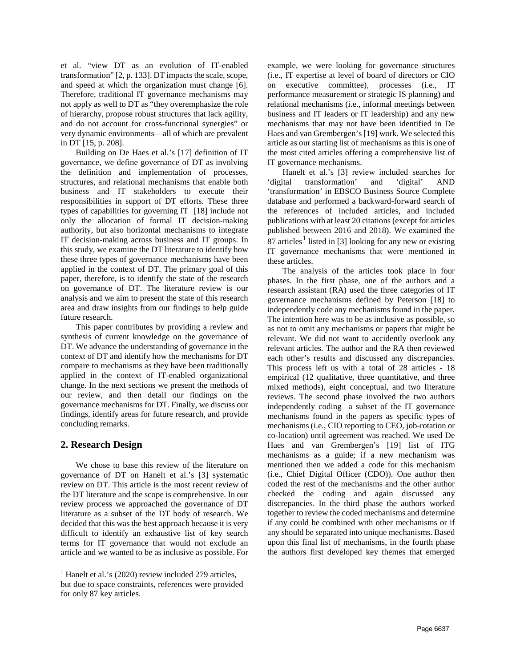et al. "view DT as an evolution of IT-enabled transformation" [2, p. 133]. DT impacts the scale, scope, and speed at which the organization must change [6]. Therefore, traditional IT governance mechanisms may not apply as well to DT as "they overemphasize the role of hierarchy, propose robust structures that lack agility, and do not account for cross-functional synergies" or very dynamic environments—all of which are prevalent in DT [15, p. 208].

Building on De Haes et al.'s [17] definition of IT governance, we define governance of DT as involving the definition and implementation of processes, structures, and relational mechanisms that enable both business and IT stakeholders to execute their responsibilities in support of DT efforts. These three types of capabilities for governing IT [18] include not only the allocation of formal IT decision-making authority, but also horizontal mechanisms to integrate IT decision-making across business and IT groups. In this study, we examine the DT literature to identify how these three types of governance mechanisms have been applied in the context of DT. The primary goal of this paper, therefore, is to identify the state of the research on governance of DT. The literature review is our analysis and we aim to present the state of this research area and draw insights from our findings to help guide future research.

This paper contributes by providing a review and synthesis of current knowledge on the governance of DT. We advance the understanding of governance in the context of DT and identify how the mechanisms for DT compare to mechanisms as they have been traditionally applied in the context of IT-enabled organizational change. In the next sections we present the methods of our review, and then detail our findings on the governance mechanisms for DT. Finally, we discuss our findings, identify areas for future research, and provide concluding remarks.

### **2. Research Design**

We chose to base this review of the literature on governance of DT on Hanelt et al.'s [3] systematic review on DT. This article is the most recent review of the DT literature and the scope is comprehensive. In our review process we approached the governance of DT literature as a subset of the DT body of research. We decided that this was the best approach because it is very difficult to identify an exhaustive list of key search terms for IT governance that would not exclude an article and we wanted to be as inclusive as possible. For example, we were looking for governance structures (i.e., IT expertise at level of board of directors or CIO on executive committee), processes (i.e., IT performance measurement or strategic IS planning) and relational mechanisms (i.e., informal meetings between business and IT leaders or IT leadership) and any new mechanisms that may not have been identified in De Haes and van Grembergen's [19] work. We selected this article as our starting list of mechanisms as this is one of the most cited articles offering a comprehensive list of IT governance mechanisms.

Hanelt et al.'s [3] review included searches for 'digital transformation' and 'digital' AND 'transformation' in EBSCO Business Source Complete database and performed a backward-forward search of the references of included articles, and included publications with at least 20 citations (except for articles published between 2016 and 2018). We examined the 87 articles<sup>[1](#page-1-0)</sup> listed in [3] looking for any new or existing IT governance mechanisms that were mentioned in these articles.

The analysis of the articles took place in four phases. In the first phase, one of the authors and a research assistant (RA) used the three categories of IT governance mechanisms defined by Peterson [18] to independently code any mechanisms found in the paper. The intention here was to be as inclusive as possible, so as not to omit any mechanisms or papers that might be relevant. We did not want to accidently overlook any relevant articles. The author and the RA then reviewed each other's results and discussed any discrepancies. This process left us with a total of 28 articles - 18 empirical (12 qualitative, three quantitative, and three mixed methods), eight conceptual, and two literature reviews. The second phase involved the two authors independently coding a subset of the IT governance mechanisms found in the papers as specific types of mechanisms (i.e., CIO reporting to CEO, job-rotation or co-location) until agreement was reached. We used De Haes and van Grembergen's [19] list of ITG mechanisms as a guide; if a new mechanism was mentioned then we added a code for this mechanism (i.e., Chief Digital Officer (CDO)). One author then coded the rest of the mechanisms and the other author checked the coding and again discussed any discrepancies. In the third phase the authors worked together to review the coded mechanisms and determine if any could be combined with other mechanisms or if any should be separated into unique mechanisms. Based upon this final list of mechanisms, in the fourth phase the authors first developed key themes that emerged

<span id="page-1-0"></span><sup>&</sup>lt;sup>1</sup> Hanelt et al.'s (2020) review included 279 articles, but due to space constraints, references were provided for only 87 key articles.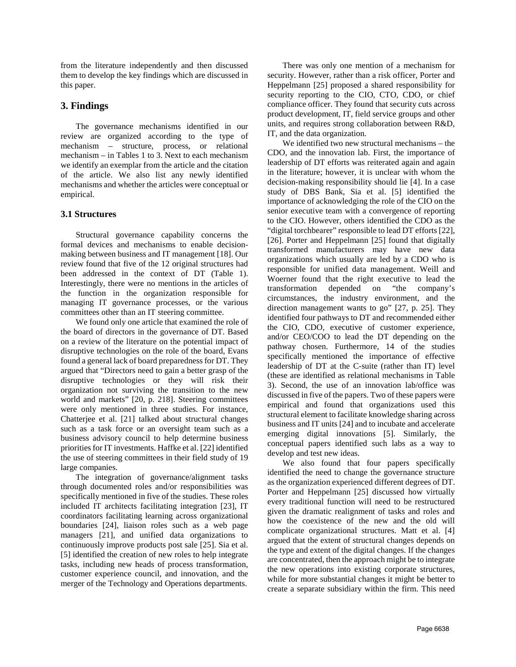from the literature independently and then discussed them to develop the key findings which are discussed in this paper.

## **3. Findings**

The governance mechanisms identified in our review are organized according to the type of mechanism – structure, process, or relational mechanism – in Tables 1 to 3. Next to each mechanism we identify an exemplar from the article and the citation of the article. We also list any newly identified mechanisms and whether the articles were conceptual or empirical.

### **3.1 Structures**

Structural governance capability concerns the formal devices and mechanisms to enable decisionmaking between business and IT management [18]. Our review found that five of the 12 original structures had been addressed in the context of DT (Table 1). Interestingly, there were no mentions in the articles of the function in the organization responsible for managing IT governance processes, or the various committees other than an IT steering committee.

We found only one article that examined the role of the board of directors in the governance of DT. Based on a review of the literature on the potential impact of disruptive technologies on the role of the board, Evans found a general lack of board preparedness for DT. They argued that "Directors need to gain a better grasp of the disruptive technologies or they will risk their organization not surviving the transition to the new world and markets" [20, p. 218]. Steering committees were only mentioned in three studies. For instance, Chatterjee et al. [21] talked about structural changes such as a task force or an oversight team such as a business advisory council to help determine business priorities for IT investments. Haffke et al. [22] identified the use of steering committees in their field study of 19 large companies.

The integration of governance/alignment tasks through documented roles and/or responsibilities was specifically mentioned in five of the studies. These roles included IT architects facilitating integration [23], IT coordinators facilitating learning across organizational boundaries [24], liaison roles such as a web page managers [21], and unified data organizations to continuously improve products post sale [25]. Sia et al. [5] identified the creation of new roles to help integrate tasks, including new heads of process transformation, customer experience council, and innovation, and the merger of the Technology and Operations departments.

There was only one mention of a mechanism for security. However, rather than a risk officer, Porter and Heppelmann [25] proposed a shared responsibility for security reporting to the CIO, CTO, CDO, or chief compliance officer. They found that security cuts across product development, IT, field service groups and other units, and requires strong collaboration between R&D, IT, and the data organization.

We identified two new structural mechanisms – the CDO, and the innovation lab. First, the importance of leadership of DT efforts was reiterated again and again in the literature; however, it is unclear with whom the decision-making responsibility should lie [4]. In a case study of DBS Bank, Sia et al. [5] identified the importance of acknowledging the role of the CIO on the senior executive team with a convergence of reporting to the CIO. However, others identified the CDO as the "digital torchbearer" responsible to lead DT efforts [22], [26]. Porter and Heppelmann [25] found that digitally transformed manufacturers may have new data organizations which usually are led by a CDO who is responsible for unified data management. Weill and Woerner found that the right executive to lead the transformation depended on "the company's circumstances, the industry environment, and the direction management wants to go" [27, p. 25]. They identified four pathways to DT and recommended either the CIO, CDO, executive of customer experience, and/or CEO/COO to lead the DT depending on the pathway chosen. Furthermore, 14 of the studies specifically mentioned the importance of effective leadership of DT at the C-suite (rather than IT) level (these are identified as relational mechanisms in Table 3). Second, the use of an innovation lab/office was discussed in five of the papers. Two of these papers were empirical and found that organizations used this structural element to facilitate knowledge sharing across business and IT units [24] and to incubate and accelerate emerging digital innovations [5]. Similarly, the conceptual papers identified such labs as a way to develop and test new ideas.

We also found that four papers specifically identified the need to change the governance structure as the organization experienced different degrees of DT. Porter and Heppelmann [25] discussed how virtually every traditional function will need to be restructured given the dramatic realignment of tasks and roles and how the coexistence of the new and the old will complicate organizational structures. Matt et al. [4] argued that the extent of structural changes depends on the type and extent of the digital changes. If the changes are concentrated, then the approach might be to integrate the new operations into existing corporate structures, while for more substantial changes it might be better to create a separate subsidiary within the firm. This need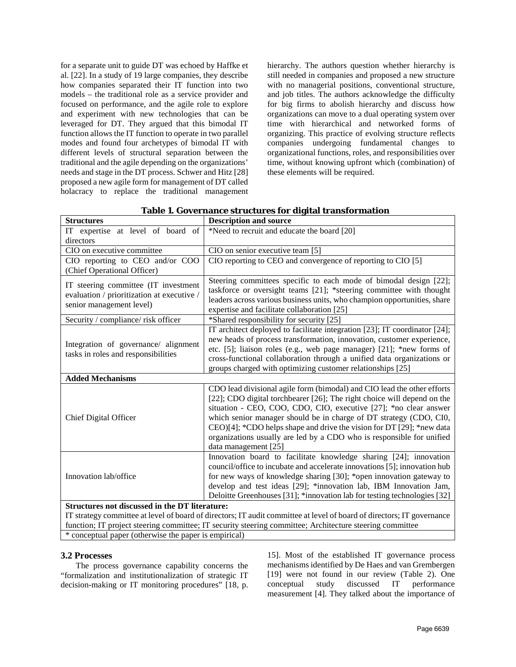for a separate unit to guide DT was echoed by Haffke et al. [22]. In a study of 19 large companies, they describe how companies separated their IT function into two models – the traditional role as a service provider and focused on performance, and the agile role to explore and experiment with new technologies that can be leveraged for DT. They argued that this bimodal IT function allows the IT function to operate in two parallel modes and found four archetypes of bimodal IT with different levels of structural separation between the traditional and the agile depending on the organizations' needs and stage in the DT process. Schwer and Hitz [28] proposed a new agile form for management of DT called holacracy to replace the traditional management hierarchy. The authors question whether hierarchy is still needed in companies and proposed a new structure with no managerial positions, conventional structure, and job titles. The authors acknowledge the difficulty for big firms to abolish hierarchy and discuss how organizations can move to a dual operating system over time with hierarchical and networked forms of organizing. This practice of evolving structure reflects companies undergoing fundamental changes to organizational functions, roles, and responsibilities over time, without knowing upfront which (combination) of these elements will be required.

| <b>Structures</b>                                                                                                      | <b>Description and source</b>                                                                                                                                                                                                                                                                                                                                                                                                                                            |  |
|------------------------------------------------------------------------------------------------------------------------|--------------------------------------------------------------------------------------------------------------------------------------------------------------------------------------------------------------------------------------------------------------------------------------------------------------------------------------------------------------------------------------------------------------------------------------------------------------------------|--|
| IT expertise at level of board of                                                                                      | *Need to recruit and educate the board [20]                                                                                                                                                                                                                                                                                                                                                                                                                              |  |
| directors                                                                                                              |                                                                                                                                                                                                                                                                                                                                                                                                                                                                          |  |
| CIO on executive committee                                                                                             | CIO on senior executive team [5]                                                                                                                                                                                                                                                                                                                                                                                                                                         |  |
| CIO reporting to CEO and/or COO                                                                                        | CIO reporting to CEO and convergence of reporting to CIO [5]                                                                                                                                                                                                                                                                                                                                                                                                             |  |
| (Chief Operational Officer)                                                                                            |                                                                                                                                                                                                                                                                                                                                                                                                                                                                          |  |
| IT steering committee (IT investment<br>evaluation / prioritization at executive /<br>senior management level)         | Steering committees specific to each mode of bimodal design [22];<br>taskforce or oversight teams [21]; *steering committee with thought<br>leaders across various business units, who champion opportunities, share                                                                                                                                                                                                                                                     |  |
|                                                                                                                        | expertise and facilitate collaboration [25]                                                                                                                                                                                                                                                                                                                                                                                                                              |  |
| Security / compliance/ risk officer                                                                                    | *Shared responsibility for security [25]                                                                                                                                                                                                                                                                                                                                                                                                                                 |  |
| Integration of governance/ alignment<br>tasks in roles and responsibilities                                            | IT architect deployed to facilitate integration [23]; IT coordinator [24];<br>new heads of process transformation, innovation, customer experience,<br>etc. [5]; liaison roles (e.g., web page manager) [21]; *new forms of<br>cross-functional collaboration through a unified data organizations or<br>groups charged with optimizing customer relationships [25]                                                                                                      |  |
| <b>Added Mechanisms</b>                                                                                                |                                                                                                                                                                                                                                                                                                                                                                                                                                                                          |  |
| Chief Digital Officer                                                                                                  | CDO lead divisional agile form (bimodal) and CIO lead the other efforts<br>[22]; CDO digital torchbearer [26]; The right choice will depend on the<br>situation - CEO, COO, CDO, CIO, executive [27]; *no clear answer<br>which senior manager should be in charge of DT strategy (CDO, CI0,<br>$CEO$ [4]; *CDO helps shape and drive the vision for DT [29]; *new data<br>organizations usually are led by a CDO who is responsible for unified<br>data management [25] |  |
| Innovation lab/office                                                                                                  | Innovation board to facilitate knowledge sharing [24]; innovation<br>council/office to incubate and accelerate innovations [5]; innovation hub<br>for new ways of knowledge sharing [30]; *open innovation gateway to<br>develop and test ideas [29]; *innovation lab, IBM Innovation Jam,<br>Deloitte Greenhouses [31]; *innovation lab for testing technologies [32]                                                                                                   |  |
| Structures not discussed in the DT literature:                                                                         |                                                                                                                                                                                                                                                                                                                                                                                                                                                                          |  |
| IT strategy committee at lavel of board of directors: IT audit committee at lavel of board of directors: IT governance |                                                                                                                                                                                                                                                                                                                                                                                                                                                                          |  |

| Table 1. Governance structures for digital transformation |
|-----------------------------------------------------------|
|-----------------------------------------------------------|

IT strategy committee at level of board of directors; IT audit committee at level of board of directors; IT governance function; IT project steering committee; IT security steering committee; Architecture steering committee \* conceptual paper (otherwise the paper is empirical)

#### **3.2 Processes**

The process governance capability concerns the "formalization and institutionalization of strategic IT decision-making or IT monitoring procedures" [18, p.

15]. Most of the established IT governance process mechanisms identified by De Haes and van Grembergen [19] were not found in our review (Table 2). One conceptual study discussed IT performance measurement [4]. They talked about the importance of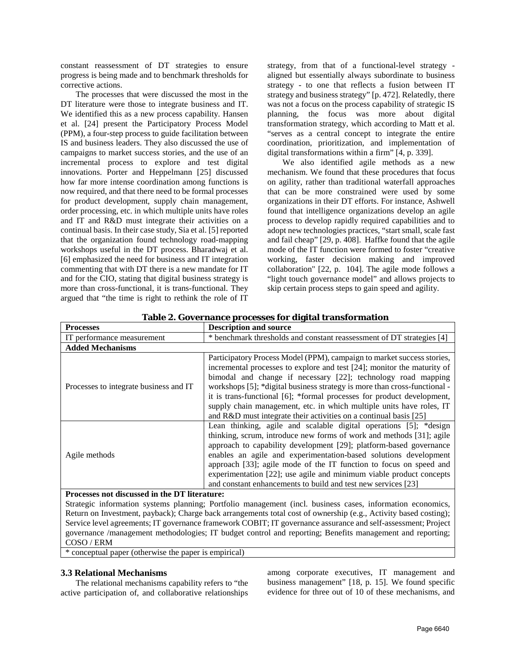constant reassessment of DT strategies to ensure progress is being made and to benchmark thresholds for corrective actions.

The processes that were discussed the most in the DT literature were those to integrate business and IT. We identified this as a new process capability. Hansen et al. [24] present the Participatory Process Model (PPM), a four-step process to guide facilitation between IS and business leaders. They also discussed the use of campaigns to market success stories, and the use of an incremental process to explore and test digital innovations. Porter and Heppelmann [25] discussed how far more intense coordination among functions is now required, and that there need to be formal processes for product development, supply chain management, order processing, etc. in which multiple units have roles and IT and R&D must integrate their activities on a continual basis. In their case study, Sia et al. [5] reported that the organization found technology road-mapping workshops useful in the DT process. Bharadwaj et al. [6] emphasized the need for business and IT integration commenting that with DT there is a new mandate for IT and for the CIO, stating that digital business strategy is more than cross-functional, it is trans-functional. They argued that "the time is right to rethink the role of IT

strategy, from that of a functional-level strategy aligned but essentially always subordinate to business strategy - to one that reflects a fusion between IT strategy and business strategy" [p. 472]. Relatedly, there was not a focus on the process capability of strategic IS planning, the focus was more about digital transformation strategy, which according to Matt et al. "serves as a central concept to integrate the entire coordination, prioritization, and implementation of digital transformations within a firm" [4, p. 339].

We also identified agile methods as a new mechanism. We found that these procedures that focus on agility, rather than traditional waterfall approaches that can be more constrained were used by some organizations in their DT efforts. For instance, Ashwell found that intelligence organizations develop an agile process to develop rapidly required capabilities and to adopt new technologies practices, "start small, scale fast and fail cheap" [29, p. 408]. Haffke found that the agile mode of the IT function were formed to foster "creative working, faster decision making and improved collaboration" [22, p. 104]. The agile mode follows a "light touch governance model" and allows projects to skip certain process steps to gain speed and agility.

| <b>Processes</b>                                                                                           | <b>Description and source</b>                                                                                                                                                                                                                                                                                                                                                                                                                                                                                            |  |
|------------------------------------------------------------------------------------------------------------|--------------------------------------------------------------------------------------------------------------------------------------------------------------------------------------------------------------------------------------------------------------------------------------------------------------------------------------------------------------------------------------------------------------------------------------------------------------------------------------------------------------------------|--|
| IT performance measurement                                                                                 | * benchmark thresholds and constant reassessment of DT strategies [4]                                                                                                                                                                                                                                                                                                                                                                                                                                                    |  |
| <b>Added Mechanisms</b>                                                                                    |                                                                                                                                                                                                                                                                                                                                                                                                                                                                                                                          |  |
| Processes to integrate business and IT                                                                     | Participatory Process Model (PPM), campaign to market success stories,<br>incremental processes to explore and test [24]; monitor the maturity of<br>bimodal and change if necessary [22]; technology road mapping<br>workshops [5]; *digital business strategy is more than cross-functional -<br>it is trans-functional [6]; *formal processes for product development,<br>supply chain management, etc. in which multiple units have roles, IT<br>and $R&D$ must integrate their activities on a continual basis [25] |  |
| Agile methods                                                                                              | Lean thinking, agile and scalable digital operations [5]; *design<br>thinking, scrum, introduce new forms of work and methods [31]; agile<br>approach to capability development [29]; platform-based governance<br>enables an agile and experimentation-based solutions development<br>approach [33]; agile mode of the IT function to focus on speed and<br>experimentation [22]; use agile and minimum viable product concepts<br>and constant enhancements to build and test new services [23]                        |  |
| Processes not discussed in the DT literature:                                                              |                                                                                                                                                                                                                                                                                                                                                                                                                                                                                                                          |  |
| Strategic information systems planning; Portfolio management (incl. business cases, information economics, |                                                                                                                                                                                                                                                                                                                                                                                                                                                                                                                          |  |

**Table 2. Governance processes for digital transformation**

Return on Investment, payback); Charge back arrangements total cost of ownership (e.g., Activity based costing); Service level agreements; IT governance framework COBIT; IT governance assurance and self-assessment; Project governance /management methodologies; IT budget control and reporting; Benefits management and reporting; COSO / ERM

\* conceptual paper (otherwise the paper is empirical)

#### **3.3 Relational Mechanisms**

The relational mechanisms capability refers to "the active participation of, and collaborative relationships

among corporate executives, IT management and business management" [18, p. 15]. We found specific evidence for three out of 10 of these mechanisms, and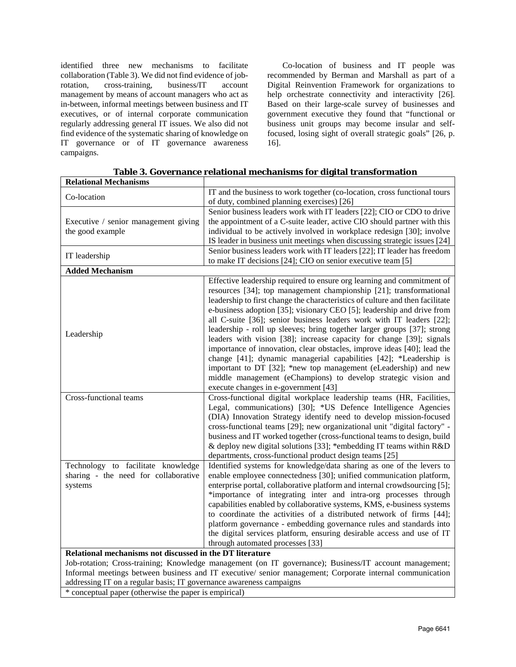identified three new mechanisms to facilitate collaboration (Table 3). We did not find evidence of jobrotation, cross-training, business/IT account management by means of account managers who act as in-between, informal meetings between business and IT executives, or of internal corporate communication regularly addressing general IT issues. We also did not find evidence of the systematic sharing of knowledge on IT governance or of IT governance awareness campaigns.

Co-location of business and IT people was recommended by Berman and Marshall as part of a Digital Reinvention Framework for organizations to help orchestrate connectivity and interactivity [26]. Based on their large-scale survey of businesses and government executive they found that "functional or business unit groups may become insular and selffocused, losing sight of overall strategic goals" [26, p. 16].

| <b>Relational Mechanisms</b>                                                                                                                                                                                                                                                             |                                                                                                                                                                                                                                                                                                                                                                                                                                                                                                                                                                                                                                                                                                                                                                                                                                                                 |  |
|------------------------------------------------------------------------------------------------------------------------------------------------------------------------------------------------------------------------------------------------------------------------------------------|-----------------------------------------------------------------------------------------------------------------------------------------------------------------------------------------------------------------------------------------------------------------------------------------------------------------------------------------------------------------------------------------------------------------------------------------------------------------------------------------------------------------------------------------------------------------------------------------------------------------------------------------------------------------------------------------------------------------------------------------------------------------------------------------------------------------------------------------------------------------|--|
| Co-location                                                                                                                                                                                                                                                                              | IT and the business to work together (co-location, cross functional tours<br>of duty, combined planning exercises) [26]                                                                                                                                                                                                                                                                                                                                                                                                                                                                                                                                                                                                                                                                                                                                         |  |
| Executive / senior management giving<br>the good example                                                                                                                                                                                                                                 | Senior business leaders work with IT leaders [22]; CIO or CDO to drive<br>the appointment of a C-suite leader, active CIO should partner with this<br>individual to be actively involved in workplace redesign [30]; involve<br>IS leader in business unit meetings when discussing strategic issues [24]                                                                                                                                                                                                                                                                                                                                                                                                                                                                                                                                                       |  |
| IT leadership                                                                                                                                                                                                                                                                            | Senior business leaders work with IT leaders [22]; IT leader has freedom<br>to make IT decisions [24]; CIO on senior executive team [5]                                                                                                                                                                                                                                                                                                                                                                                                                                                                                                                                                                                                                                                                                                                         |  |
| <b>Added Mechanism</b>                                                                                                                                                                                                                                                                   |                                                                                                                                                                                                                                                                                                                                                                                                                                                                                                                                                                                                                                                                                                                                                                                                                                                                 |  |
| Leadership                                                                                                                                                                                                                                                                               | Effective leadership required to ensure org learning and commitment of<br>resources [34]; top management championship [21]; transformational<br>leadership to first change the characteristics of culture and then facilitate<br>e-business adoption [35]; visionary CEO [5]; leadership and drive from<br>all C-suite [36]; senior business leaders work with IT leaders [22];<br>leadership - roll up sleeves; bring together larger groups [37]; strong<br>leaders with vision [38]; increase capacity for change [39]; signals<br>importance of innovation, clear obstacles, improve ideas [40]; lead the<br>change [41]; dynamic managerial capabilities [42]; *Leadership is<br>important to DT [32]; *new top management (eLeadership) and new<br>middle management (eChampions) to develop strategic vision and<br>execute changes in e-government [43] |  |
| Cross-functional teams                                                                                                                                                                                                                                                                   | Cross-functional digital workplace leadership teams (HR, Facilities,                                                                                                                                                                                                                                                                                                                                                                                                                                                                                                                                                                                                                                                                                                                                                                                            |  |
|                                                                                                                                                                                                                                                                                          | Legal, communications) [30]; *US Defence Intelligence Agencies<br>(DIA) Innovation Strategy identify need to develop mission-focused<br>cross-functional teams [29]; new organizational unit "digital factory" -<br>business and IT worked together (cross-functional teams to design, build<br>& deploy new digital solutions [33]; *embedding IT teams within R&D<br>departments, cross-functional product design teams [25]                                                                                                                                                                                                                                                                                                                                                                                                                                  |  |
| Technology to facilitate knowledge                                                                                                                                                                                                                                                       | Identified systems for knowledge/data sharing as one of the levers to                                                                                                                                                                                                                                                                                                                                                                                                                                                                                                                                                                                                                                                                                                                                                                                           |  |
| sharing - the need for collaborative<br>systems                                                                                                                                                                                                                                          | enable employee connectedness [30]; unified communication platform,<br>enterprise portal, collaborative platform and internal crowdsourcing [5];<br>*importance of integrating inter and intra-org processes through<br>capabilities enabled by collaborative systems, KMS, e-business systems<br>to coordinate the activities of a distributed network of firms [44];<br>platform governance - embedding governance rules and standards into<br>the digital services platform, ensuring desirable access and use of IT<br>through automated processes [33]                                                                                                                                                                                                                                                                                                     |  |
| Relational mechanisms not discussed in the DT literature                                                                                                                                                                                                                                 |                                                                                                                                                                                                                                                                                                                                                                                                                                                                                                                                                                                                                                                                                                                                                                                                                                                                 |  |
| Job-rotation; Cross-training; Knowledge management (on IT governance); Business/IT account management;<br>Informal meetings between business and IT executive/senior management; Corporate internal communication<br>addressing IT on a regular basis; IT governance awareness campaigns |                                                                                                                                                                                                                                                                                                                                                                                                                                                                                                                                                                                                                                                                                                                                                                                                                                                                 |  |

**Table 3. Governance relational mechanisms for digital transformation**

\* conceptual paper (otherwise the paper is empirical)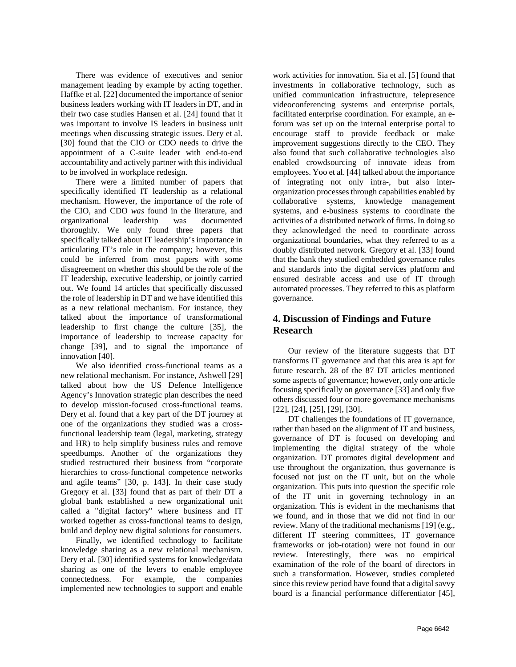There was evidence of executives and senior management leading by example by acting together. Haffke et al. [22] documented the importance of senior business leaders working with IT leaders in DT, and in their two case studies Hansen et al. [24] found that it was important to involve IS leaders in business unit meetings when discussing strategic issues. Dery et al. [30] found that the CIO or CDO needs to drive the appointment of a C-suite leader with end-to-end accountability and actively partner with this individual to be involved in workplace redesign.

There were a limited number of papers that specifically identified IT leadership as a relational mechanism. However, the importance of the role of the CIO, and CDO *was* found in the literature, and organizational leadership was documented thoroughly. We only found three papers that specifically talked about IT leadership's importance in articulating IT's role in the company; however, this could be inferred from most papers with some disagreement on whether this should be the role of the IT leadership, executive leadership, or jointly carried out. We found 14 articles that specifically discussed the role of leadership in DT and we have identified this as a new relational mechanism. For instance, they talked about the importance of transformational leadership to first change the culture [35], the importance of leadership to increase capacity for change [39], and to signal the importance of innovation [40].

We also identified cross-functional teams as a new relational mechanism. For instance, Ashwell [29] talked about how the US Defence Intelligence Agency's Innovation strategic plan describes the need to develop mission-focused cross-functional teams. Dery et al. found that a key part of the DT journey at one of the organizations they studied was a crossfunctional leadership team (legal, marketing, strategy and HR) to help simplify business rules and remove speedbumps. Another of the organizations they studied restructured their business from "corporate hierarchies to cross-functional competence networks and agile teams" [30, p. 143]. In their case study Gregory et al. [33] found that as part of their DT a global bank established a new organizational unit called a "digital factory" where business and IT worked together as cross-functional teams to design, build and deploy new digital solutions for consumers.

Finally, we identified technology to facilitate knowledge sharing as a new relational mechanism. Dery et al. [30] identified systems for knowledge/data sharing as one of the levers to enable employee connectedness. For example, the companies implemented new technologies to support and enable

work activities for innovation. Sia et al. [5] found that investments in collaborative technology, such as unified communication infrastructure, telepresence videoconferencing systems and enterprise portals, facilitated enterprise coordination. For example, an eforum was set up on the internal enterprise portal to encourage staff to provide feedback or make improvement suggestions directly to the CEO. They also found that such collaborative technologies also enabled crowdsourcing of innovate ideas from employees. Yoo et al. [44] talked about the importance of integrating not only intra-, but also interorganization processes through capabilities enabled by collaborative systems, knowledge management systems, and e-business systems to coordinate the activities of a distributed network of firms. In doing so they acknowledged the need to coordinate across organizational boundaries, what they referred to as a doubly distributed network. Gregory et al. [33] found that the bank they studied embedded governance rules and standards into the digital services platform and ensured desirable access and use of IT through automated processes. They referred to this as platform governance.

# **4. Discussion of Findings and Future Research**

Our review of the literature suggests that DT transforms IT governance and that this area is apt for future research. 28 of the 87 DT articles mentioned some aspects of governance; however, only one article focusing specifically on governance [33] and only five others discussed four or more governance mechanisms [22], [24], [25], [29], [30].

DT challenges the foundations of IT governance, rather than based on the alignment of IT and business, governance of DT is focused on developing and implementing the digital strategy of the whole organization. DT promotes digital development and use throughout the organization, thus governance is focused not just on the IT unit, but on the whole organization. This puts into question the specific role of the IT unit in governing technology in an organization. This is evident in the mechanisms that we found, and in those that we did not find in our review. Many of the traditional mechanisms [19] (e.g., different IT steering committees, IT governance frameworks or job-rotation) were not found in our review. Interestingly, there was no empirical examination of the role of the board of directors in such a transformation. However, studies completed since this review period have found that a digital savvy board is a financial performance differentiator [45],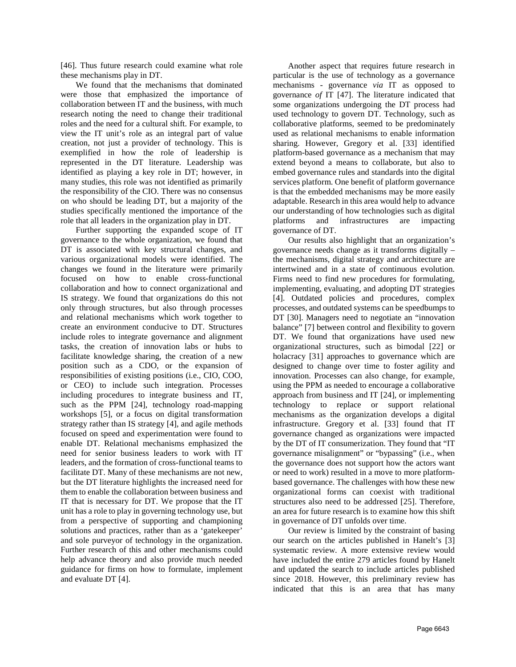[46]. Thus future research could examine what role these mechanisms play in DT.

We found that the mechanisms that dominated were those that emphasized the importance of collaboration between IT and the business, with much research noting the need to change their traditional roles and the need for a cultural shift. For example, to view the IT unit's role as an integral part of value creation, not just a provider of technology. This is exemplified in how the role of leadership is represented in the DT literature. Leadership was identified as playing a key role in DT; however, in many studies, this role was not identified as primarily the responsibility of the CIO. There was no consensus on who should be leading DT, but a majority of the studies specifically mentioned the importance of the role that all leaders in the organization play in DT.

Further supporting the expanded scope of IT governance to the whole organization, we found that DT is associated with key structural changes, and various organizational models were identified. The changes we found in the literature were primarily focused on how to enable cross-functional collaboration and how to connect organizational and IS strategy. We found that organizations do this not only through structures, but also through processes and relational mechanisms which work together to create an environment conducive to DT. Structures include roles to integrate governance and alignment tasks, the creation of innovation labs or hubs to facilitate knowledge sharing, the creation of a new position such as a CDO, or the expansion of responsibilities of existing positions (i.e., CIO, COO, or CEO) to include such integration. Processes including procedures to integrate business and IT, such as the PPM [24], technology road-mapping workshops [5], or a focus on digital transformation strategy rather than IS strategy [4], and agile methods focused on speed and experimentation were found to enable DT. Relational mechanisms emphasized the need for senior business leaders to work with IT leaders, and the formation of cross-functional teams to facilitate DT. Many of these mechanisms are not new, but the DT literature highlights the increased need for them to enable the collaboration between business and IT that is necessary for DT. We propose that the IT unit has a role to play in governing technology use, but from a perspective of supporting and championing solutions and practices, rather than as a 'gatekeeper' and sole purveyor of technology in the organization. Further research of this and other mechanisms could help advance theory and also provide much needed guidance for firms on how to formulate, implement and evaluate DT [4].

Another aspect that requires future research in particular is the use of technology as a governance mechanisms - governance *via* IT as opposed to governance *of* IT [47]. The literature indicated that some organizations undergoing the DT process had used technology to govern DT. Technology, such as collaborative platforms, seemed to be predominately used as relational mechanisms to enable information sharing. However, Gregory et al. [33] identified platform-based governance as a mechanism that may extend beyond a means to collaborate, but also to embed governance rules and standards into the digital services platform. One benefit of platform governance is that the embedded mechanisms may be more easily adaptable. Research in this area would help to advance our understanding of how technologies such as digital platforms and infrastructures are impacting governance of DT.

Our results also highlight that an organization's governance needs change as it transforms digitally – the mechanisms, digital strategy and architecture are intertwined and in a state of continuous evolution. Firms need to find new procedures for formulating, implementing, evaluating, and adopting DT strategies [4]. Outdated policies and procedures, complex processes, and outdated systems can be speedbumps to DT [30]. Managers need to negotiate an "innovation balance" [7] between control and flexibility to govern DT. We found that organizations have used new organizational structures, such as bimodal [22] or holacracy [31] approaches to governance which are designed to change over time to foster agility and innovation. Processes can also change, for example, using the PPM as needed to encourage a collaborative approach from business and IT [24], or implementing technology to replace or support relational mechanisms as the organization develops a digital infrastructure. Gregory et al. [33] found that IT governance changed as organizations were impacted by the DT of IT consumerization. They found that "IT governance misalignment" or "bypassing" (i.e., when the governance does not support how the actors want or need to work) resulted in a move to more platformbased governance. The challenges with how these new organizational forms can coexist with traditional structures also need to be addressed [25]. Therefore, an area for future research is to examine how this shift in governance of DT unfolds over time.

Our review is limited by the constraint of basing our search on the articles published in Hanelt's [3] systematic review. A more extensive review would have included the entire 279 articles found by Hanelt and updated the search to include articles published since 2018. However, this preliminary review has indicated that this is an area that has many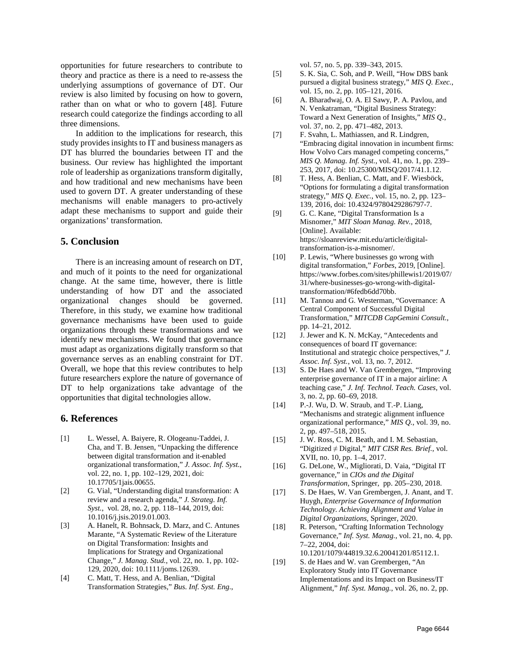opportunities for future researchers to contribute to theory and practice as there is a need to re-assess the underlying assumptions of governance of DT. Our review is also limited by focusing on how to govern, rather than on what or who to govern [48]. Future research could categorize the findings according to all three dimensions.

In addition to the implications for research, this study provides insights to IT and business managers as DT has blurred the boundaries between IT and the business. Our review has highlighted the important role of leadership as organizations transform digitally, and how traditional and new mechanisms have been used to govern DT. A greater understanding of these mechanisms will enable managers to pro-actively adapt these mechanisms to support and guide their organizations' transformation.

### **5. Conclusion**

There is an increasing amount of research on DT, and much of it points to the need for organizational change. At the same time, however, there is little understanding of how DT and the associated organizational changes should be governed. Therefore, in this study, we examine how traditional governance mechanisms have been used to guide organizations through these transformations and we identify new mechanisms. We found that governance must adapt as organizations digitally transform so that governance serves as an enabling constraint for DT. Overall, we hope that this review contributes to help future researchers explore the nature of governance of DT to help organizations take advantage of the opportunities that digital technologies allow.

#### **6. References**

- [1] L. Wessel, A. Baiyere, R. Ologeanu-Taddei, J. Cha, and T. B. Jensen, "Unpacking the difference between digital transformation and it-enabled organizational transformation," *J. Assoc. Inf. Syst.*, vol. 22, no. 1, pp. 102–129, 2021, doi: 10.17705/1jais.00655.
- [2] G. Vial, "Understanding digital transformation: A review and a research agenda," *J. Strateg. Inf. Syst.*, vol. 28, no. 2, pp. 118–144, 2019, doi: 10.1016/j.jsis.2019.01.003.
- [3] A. Hanelt, R. Bohnsack, D. Marz, and C. Antunes Marante, "A Systematic Review of the Literature on Digital Transformation: Insights and Implications for Strategy and Organizational Change," *J. Manag. Stud.*, vol. 22, no. 1, pp. 102- 129, 2020, doi: 10.1111/joms.12639.
- [4] C. Matt, T. Hess, and A. Benlian, "Digital Transformation Strategies," *Bus. Inf. Syst. Eng.*,

vol. 57, no. 5, pp. 339–343, 2015.

- [5] S. K. Sia, C. Soh, and P. Weill, "How DBS bank pursued a digital business strategy," *MIS Q. Exec.*, vol. 15, no. 2, pp. 105–121, 2016.
- [6] A. Bharadwaj, O. A. El Sawy, P. A. Pavlou, and N. Venkatraman, "Digital Business Strategy: Toward a Next Generation of Insights," *MIS Q.*, vol. 37, no. 2, pp. 471–482, 2013.
- [7] F. Svahn, L. Mathiassen, and R. Lindgren, "Embracing digital innovation in incumbent firms: How Volvo Cars managed competing concerns," *MIS Q. Manag. Inf. Syst.*, vol. 41, no. 1, pp. 239– 253, 2017, doi: 10.25300/MISQ/2017/41.1.12.
- [8] T. Hess, A. Benlian, C. Matt, and F. Wiesböck, "Options for formulating a digital transformation strategy," *MIS Q. Exec.*, vol. 15, no. 2, pp. 123– 139, 2016, doi: 10.4324/9780429286797-7.
- [9] G. C. Kane, "Digital Transformation Is a Misnomer," *MIT Sloan Manag. Rev.*, 2018, [Online]. Available: https://sloanreview.mit.edu/article/digitaltransformation-is-a-misnomer/.
- [10] P. Lewis, "Where businesses go wrong with digital transformation," *Forbes*, 2019, [Online]. https://www.forbes.com/sites/phillewis1/2019/07/ 31/where-businesses-go-wrong-with-digitaltransformation/#6fedb6dd70bb.
- [11] M. Tannou and G. Westerman, "Governance: A Central Component of Successful Digital Transformation," *MITCDB CapGemini Consult.*, pp. 14–21, 2012.
- [12] J. Jewer and K. N. McKay, "Antecedents and consequences of board IT governance: Institutional and strategic choice perspectives," *J. Assoc. Inf. Syst.*, vol. 13, no. 7, 2012.
- [13] S. De Haes and W. Van Grembergen, "Improving enterprise governance of IT in a major airline: A teaching case," *J. Inf. Technol. Teach. Cases*, vol. 3, no. 2, pp. 60–69, 2018.
- [14] P.-J. Wu, D. W. Straub, and T.-P. Liang, "Mechanisms and strategic alignment influence organizational performance," *MIS Q.*, vol. 39, no. 2, pp. 497–518, 2015.
- [15] J. W. Ross, C. M. Beath, and I. M. Sebastian, "Digitized ≠ Digital," *MIT CISR Res. Brief.*, vol. XVII, no. 10, pp. 1–4, 2017.
- [16] G. DeLone, W., Migliorati, D. Vaia, "Digital IT governance," in *CIOs and the Digital Transformation*, Springer, pp. 205–230, 2018.
- [17] S. De Haes, W. Van Grembergen, J. Anant, and T. Huygh, *Enterprise Governance of Information Technology. Achieving Alignment and Value in Digital Organizations,* Springer, 2020.
- [18] R. Peterson, "Crafting Information Technology Governance," *Inf. Syst. Manag.*, vol. 21, no. 4, pp. 7–22, 2004, doi: 10.1201/1079/44819.32.6.20041201/85112.1.
- [19] S. de Haes and W. van Grembergen, "An Exploratory Study into IT Governance Implementations and its Impact on Business/IT Alignment," *Inf. Syst. Manag.*, vol. 26, no. 2, pp.